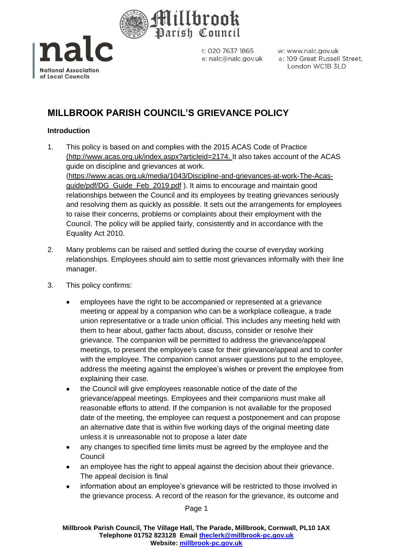



w: www.nalc.gov.uk a: 109 Great Russell Street, London WC1B 3LD

# **MILLBROOK PARISH COUNCIL'S GRIEVANCE POLICY**

## **Introduction**

- 1. This policy is based on and complies with the 2015 ACAS Code of Practice [\(http://www.acas.org.uk/index.aspx?articleid=2174.](http://www.acas.org.uk/index.aspx?articleid=2174) It also takes account of the ACAS guide on discipline and grievances at work. [\(https://www.acas.org.uk/media/1043/Discipline-and-grievances-at-work-The-Acas](https://www.acas.org.uk/media/1043/Discipline-and-grievances-at-work-The-Acas-guide/pdf/DG_Guide_Feb_2019.pdf)[guide/pdf/DG\\_Guide\\_Feb\\_2019.pdf](https://www.acas.org.uk/media/1043/Discipline-and-grievances-at-work-The-Acas-guide/pdf/DG_Guide_Feb_2019.pdf) ). It aims to encourage and maintain good relationships between the Council and its employees by treating grievances seriously and resolving them as quickly as possible. It sets out the arrangements for employees to raise their concerns, problems or complaints about their employment with the Council. The policy will be applied fairly, consistently and in accordance with the Equality Act 2010.
- 2. Many problems can be raised and settled during the course of everyday working relationships. Employees should aim to settle most grievances informally with their line manager.
- 3. This policy confirms:
	- employees have the right to be accompanied or represented at a grievance meeting or appeal by a companion who can be a workplace colleague, a trade union representative or a trade union official. This includes any meeting held with them to hear about, gather facts about, discuss, consider or resolve their grievance. The companion will be permitted to address the grievance/appeal meetings, to present the employee's case for their grievance/appeal and to confer with the employee. The companion cannot answer questions put to the employee, address the meeting against the employee's wishes or prevent the employee from explaining their case.
	- the Council will give employees reasonable notice of the date of the grievance/appeal meetings. Employees and their companions must make all reasonable efforts to attend. If the companion is not available for the proposed date of the meeting, the employee can request a postponement and can propose an alternative date that is within five working days of the original meeting date unless it is unreasonable not to propose a later date
	- any changes to specified time limits must be agreed by the employee and the Council
	- an employee has the right to appeal against the decision about their grievance. The appeal decision is final
	- information about an employee's grievance will be restricted to those involved in the grievance process. A record of the reason for the grievance, its outcome and

Page 1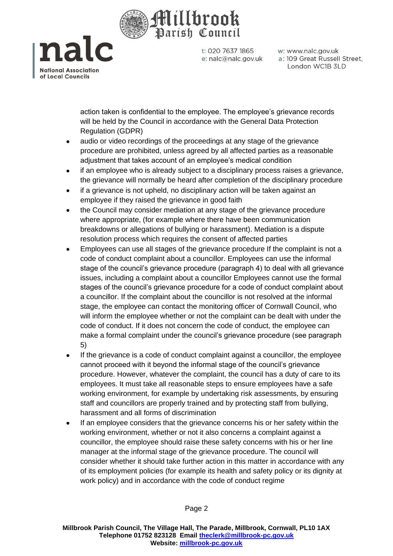

na **National Association** of Local Councils

t: 020 7637 1865 e: nalc@nalc.gov.uk w: www.nalc.gov.uk a: 109 Great Russell Street, London WC1B 3LD

action taken is confidential to the employee. The employee's grievance records will be held by the Council in accordance with the General Data Protection Regulation (GDPR)

- audio or video recordings of the proceedings at any stage of the grievance procedure are prohibited, unless agreed by all affected parties as a reasonable adjustment that takes account of an employee's medical condition
- if an employee who is already subject to a disciplinary process raises a grievance, the grievance will normally be heard after completion of the disciplinary procedure
- if a grievance is not upheld, no disciplinary action will be taken against an employee if they raised the grievance in good faith
- the Council may consider mediation at any stage of the grievance procedure where appropriate, (for example where there have been communication breakdowns or allegations of bullying or harassment). Mediation is a dispute resolution process which requires the consent of affected parties
- Employees can use all stages of the grievance procedure If the complaint is not a code of conduct complaint about a councillor. Employees can use the informal stage of the council's grievance procedure (paragraph 4) to deal with all grievance issues, including a complaint about a councillor Employees cannot use the formal stages of the council's grievance procedure for a code of conduct complaint about a councillor. If the complaint about the councillor is not resolved at the informal stage, the employee can contact the monitoring officer of Cornwall Council, who will inform the employee whether or not the complaint can be dealt with under the code of conduct. If it does not concern the code of conduct, the employee can make a formal complaint under the council's grievance procedure (see paragraph 5)
- If the grievance is a code of conduct complaint against a councillor, the employee cannot proceed with it beyond the informal stage of the council's grievance procedure. However, whatever the complaint, the council has a duty of care to its employees. It must take all reasonable steps to ensure employees have a safe working environment, for example by undertaking risk assessments, by ensuring staff and councillors are properly trained and by protecting staff from bullying, harassment and all forms of discrimination
- If an employee considers that the grievance concerns his or her safety within the working environment, whether or not it also concerns a complaint against a councillor, the employee should raise these safety concerns with his or her line manager at the informal stage of the grievance procedure. The council will consider whether it should take further action in this matter in accordance with any of its employment policies (for example its health and safety policy or its dignity at work policy) and in accordance with the code of conduct regime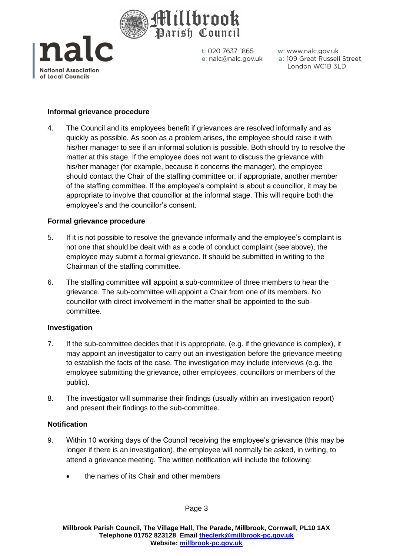



w: www.nalc.gov.uk a: 109 Great Russell Street, London WC1B 3LD

### **Informal grievance procedure**

4. The Council and its employees benefit if grievances are resolved informally and as quickly as possible. As soon as a problem arises, the employee should raise it with his/her manager to see if an informal solution is possible. Both should try to resolve the matter at this stage. If the employee does not want to discuss the grievance with his/her manager (for example, because it concerns the manager), the employee should contact the Chair of the staffing committee or, if appropriate, another member of the staffing committee. If the employee's complaint is about a councillor, it may be appropriate to involve that councillor at the informal stage. This will require both the employee's and the councillor's consent.

#### **Formal grievance procedure**

- 5. If it is not possible to resolve the grievance informally and the employee's complaint is not one that should be dealt with as a code of conduct complaint (see above), the employee may submit a formal grievance. It should be submitted in writing to the Chairman of the staffing committee.
- 6. The staffing committee will appoint a sub-committee of three members to hear the grievance. The sub-committee will appoint a Chair from one of its members. No councillor with direct involvement in the matter shall be appointed to the subcommittee.

#### **Investigation**

- 7. If the sub-committee decides that it is appropriate, (e.g. if the grievance is complex), it may appoint an investigator to carry out an investigation before the grievance meeting to establish the facts of the case. The investigation may include interviews (e.g. the employee submitting the grievance, other employees, councillors or members of the public).
- 8. The investigator will summarise their findings (usually within an investigation report) and present their findings to the sub-committee.

#### **Notification**

- 9. Within 10 working days of the Council receiving the employee's grievance (this may be longer if there is an investigation), the employee will normally be asked, in writing, to attend a grievance meeting. The written notification will include the following:
	- the names of its Chair and other members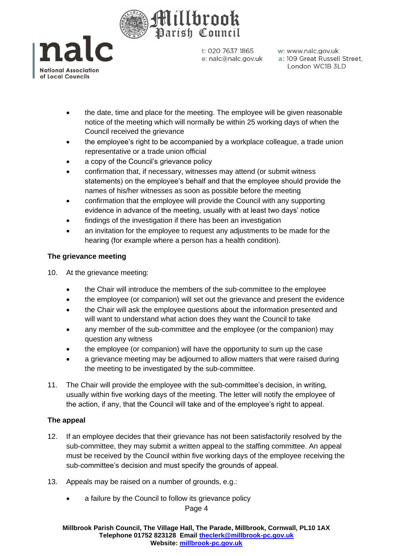



w: www.nalc.gov.uk a: 109 Great Russell Street, London WC1B 3LD

- the date, time and place for the meeting. The employee will be given reasonable notice of the meeting which will normally be within 25 working days of when the Council received the grievance
- the employee's right to be accompanied by a workplace colleague, a trade union representative or a trade union official
- a copy of the Council's grievance policy
- confirmation that, if necessary, witnesses may attend (or submit witness statements) on the employee's behalf and that the employee should provide the names of his/her witnesses as soon as possible before the meeting
- confirmation that the employee will provide the Council with any supporting evidence in advance of the meeting, usually with at least two days' notice
- findings of the investigation if there has been an investigation
- an invitation for the employee to request any adjustments to be made for the hearing (for example where a person has a health condition).

# **The grievance meeting**

- 10. At the grievance meeting:
	- the Chair will introduce the members of the sub-committee to the employee
	- the employee (or companion) will set out the grievance and present the evidence
	- the Chair will ask the employee questions about the information presented and will want to understand what action does they want the Council to take
	- any member of the sub-committee and the employee (or the companion) may question any witness
	- the employee (or companion) will have the opportunity to sum up the case
	- a grievance meeting may be adjourned to allow matters that were raised during the meeting to be investigated by the sub-committee.
- 11. The Chair will provide the employee with the sub-committee's decision, in writing, usually within five working days of the meeting. The letter will notify the employee of the action, if any, that the Council will take and of the employee's right to appeal.

# **The appeal**

- 12. If an employee decides that their grievance has not been satisfactorily resolved by the sub-committee, they may submit a written appeal to the staffing committee. An appeal must be received by the Council within five working days of the employee receiving the sub-committee's decision and must specify the grounds of appeal.
- 13. Appeals may be raised on a number of grounds, e.g.:
	- a failure by the Council to follow its grievance policy

## Page 4